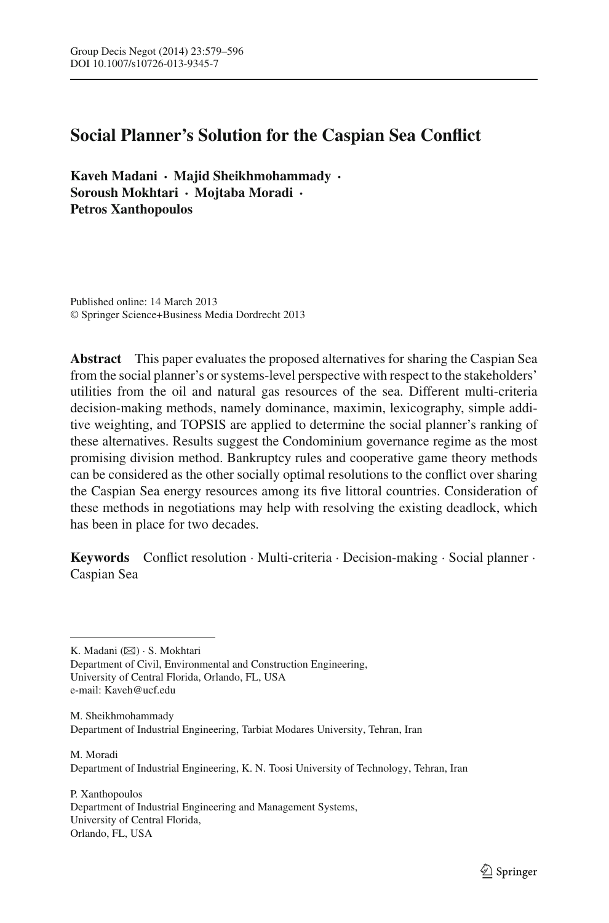# **Social Planner's Solution for the Caspian Sea Conflict**

**Kaveh Madani · Majid Sheikhmohammady · Soroush Mokhtari · Mojtaba Moradi · Petros Xanthopoulos**

Published online: 14 March 2013 © Springer Science+Business Media Dordrecht 2013

**Abstract** This paper evaluates the proposed alternatives for sharing the Caspian Sea from the social planner's or systems-level perspective with respect to the stakeholders' utilities from the oil and natural gas resources of the sea. Different multi-criteria decision-making methods, namely dominance, maximin, lexicography, simple additive weighting, and TOPSIS are applied to determine the social planner's ranking of these alternatives. Results suggest the Condominium governance regime as the most promising division method. Bankruptcy rules and cooperative game theory methods can be considered as the other socially optimal resolutions to the conflict over sharing the Caspian Sea energy resources among its five littoral countries. Consideration of these methods in negotiations may help with resolving the existing deadlock, which has been in place for two decades.

**Keywords** Conflict resolution · Multi-criteria · Decision-making · Social planner · Caspian Sea

K. Madani (⊠) · S. Mokhtari Department of Civil, Environmental and Construction Engineering, University of Central Florida, Orlando, FL, USA e-mail: Kaveh@ucf.edu

M. Sheikhmohammady Department of Industrial Engineering, Tarbiat Modares University, Tehran, Iran

M. Moradi Department of Industrial Engineering, K. N. Toosi University of Technology, Tehran, Iran

P. Xanthopoulos Department of Industrial Engineering and Management Systems, University of Central Florida, Orlando, FL, USA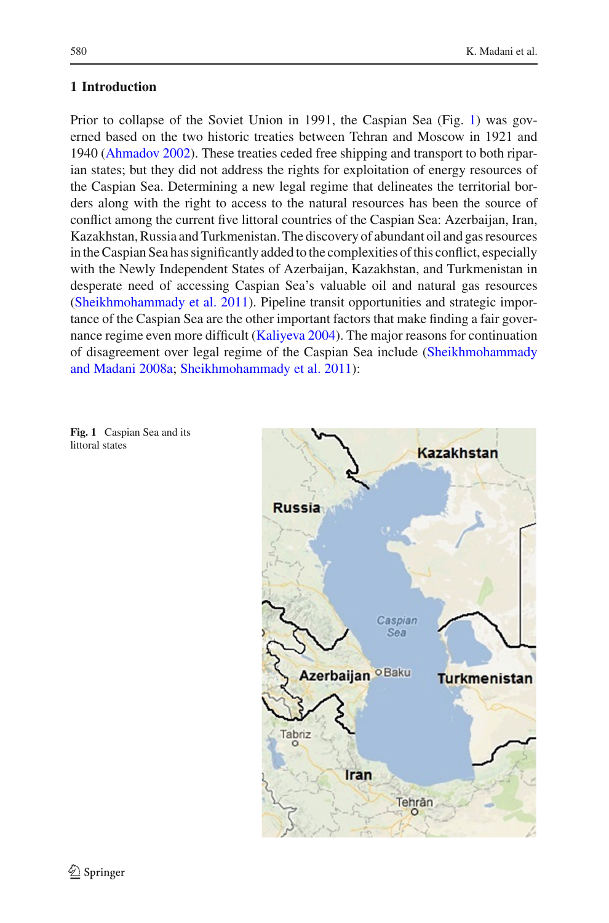Prior to collapse of the Soviet Union in 1991, the Caspian Sea (Fig. [1\)](#page-1-0) was governed based on the two historic treaties between Tehran and Moscow in 1921 and 1940 [\(Ahmadov 2002](#page-15-0)). These treaties ceded free shipping and transport to both riparian states; but they did not address the rights for exploitation of energy resources of the Caspian Sea. Determining a new legal regime that delineates the territorial borders along with the right to access to the natural resources has been the source of conflict among the current five littoral countries of the Caspian Sea: Azerbaijan, Iran, Kazakhstan, Russia and Turkmenistan. The discovery of abundant oil and gas resources in the Caspian Sea has significantly added to the complexities of this conflict, especially with the Newly Independent States of Azerbaijan, Kazakhstan, and Turkmenistan in desperate need of accessing Caspian Sea's valuable oil and natural gas resources [\(Sheikhmohammady et al. 2011](#page-17-0)). Pipeline transit opportunities and strategic importance of the Caspian Sea are the other important factors that make finding a fair governance regime even more difficult [\(Kaliyeva 2004](#page-16-0)). The major reasons for continuation of disagree[ment](#page-16-1) [over](#page-16-1) [legal](#page-16-1) [regime](#page-16-1) [of](#page-16-1) [the](#page-16-1) [Caspian](#page-16-1) [Sea](#page-16-1) [include](#page-16-1) [\(](#page-16-1)Sheikhmohammady and Madani [2008a;](#page-16-1) [Sheikhmohammady et al. 2011](#page-17-0)):

<span id="page-1-0"></span>**Fig. 1** Caspian Sea and its littoral states

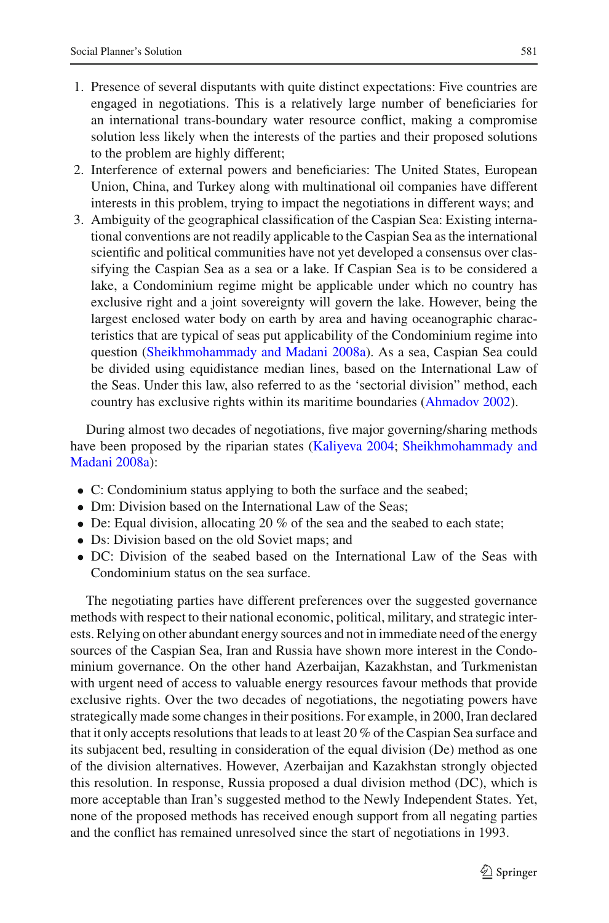- 1. Presence of several disputants with quite distinct expectations: Five countries are engaged in negotiations. This is a relatively large number of beneficiaries for an international trans-boundary water resource conflict, making a compromise solution less likely when the interests of the parties and their proposed solutions to the problem are highly different;
- 2. Interference of external powers and beneficiaries: The United States, European Union, China, and Turkey along with multinational oil companies have different interests in this problem, trying to impact the negotiations in different ways; and
- 3. Ambiguity of the geographical classification of the Caspian Sea: Existing international conventions are not readily applicable to the Caspian Sea as the international scientific and political communities have not yet developed a consensus over classifying the Caspian Sea as a sea or a lake. If Caspian Sea is to be considered a lake, a Condominium regime might be applicable under which no country has exclusive right and a joint sovereignty will govern the lake. However, being the largest enclosed water body on earth by area and having oceanographic characteristics that are typical of seas put applicability of the Condominium regime into question [\(Sheikhmohammady and Madani 2008a](#page-16-1)). As a sea, Caspian Sea could be divided using equidistance median lines, based on the International Law of the Seas. Under this law, also referred to as the 'sectorial division" method, each country has exclusive rights within its maritime boundaries [\(Ahmadov 2002\)](#page-15-0).

During almost two decades of negotiations, five major governing/sharing methods have b[een](#page-16-1) [proposed](#page-16-1) [by](#page-16-1) [the](#page-16-1) [riparian](#page-16-1) [states](#page-16-1) [\(Kaliyeva 2004;](#page-16-0) Sheikhmohammady and Madani [2008a\)](#page-16-1):

- C: Condominium status applying to both the surface and the seabed;
- Dm: Division based on the International Law of the Seas;
- De: Equal division, allocating 20 % of the sea and the seabed to each state;
- Ds: Division based on the old Soviet maps; and
- DC: Division of the seabed based on the International Law of the Seas with Condominium status on the sea surface.

The negotiating parties have different preferences over the suggested governance methods with respect to their national economic, political, military, and strategic interests. Relying on other abundant energy sources and not in immediate need of the energy sources of the Caspian Sea, Iran and Russia have shown more interest in the Condominium governance. On the other hand Azerbaijan, Kazakhstan, and Turkmenistan with urgent need of access to valuable energy resources favour methods that provide exclusive rights. Over the two decades of negotiations, the negotiating powers have strategically made some changes in their positions. For example, in 2000, Iran declared that it only accepts resolutions that leads to at least 20 % of the Caspian Sea surface and its subjacent bed, resulting in consideration of the equal division (De) method as one of the division alternatives. However, Azerbaijan and Kazakhstan strongly objected this resolution. In response, Russia proposed a dual division method (DC), which is more acceptable than Iran's suggested method to the Newly Independent States. Yet, none of the proposed methods has received enough support from all negating parties and the conflict has remained unresolved since the start of negotiations in 1993.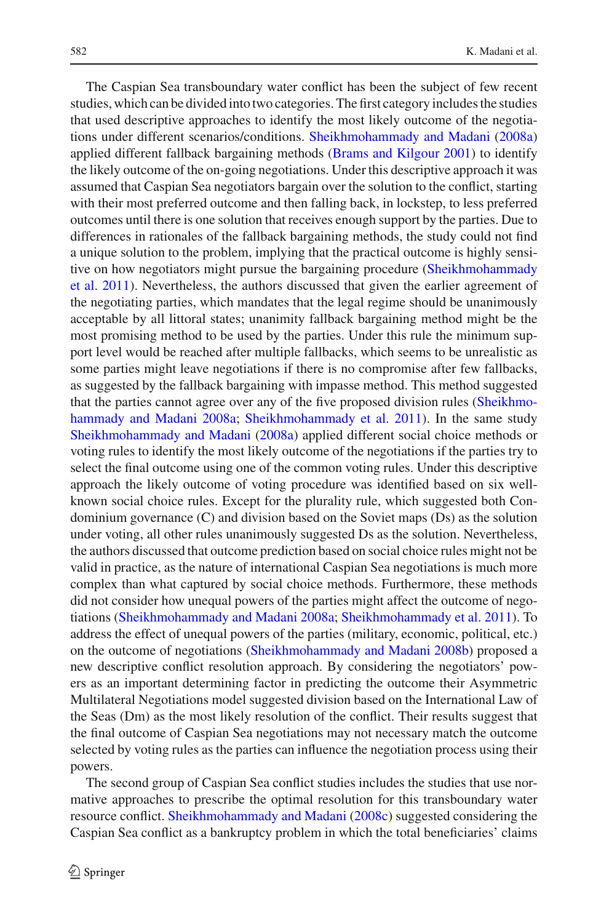The Caspian Sea transboundary water conflict has been the subject of few recent studies, which can be divided into two categories. The first category includes the studies that used descriptive approaches to identify the most likely outcome of the negotiations under different scenarios/conditions. [Sheikhmohammady and Madani](#page-16-1) [\(2008a\)](#page-16-1) applied different fallback bargaining methods [\(Brams and Kilgour 2001](#page-15-1)) to identify the likely outcome of the on-going negotiations. Under this descriptive approach it was assumed that Caspian Sea negotiators bargain over the solution to the conflict, starting with their most preferred outcome and then falling back, in lockstep, to less preferred outcomes until there is one solution that receives enough support by the parties. Due to differences in rationales of the fallback bargaining methods, the study could not find a unique solution to the problem, implying that the practical outcome is highly sensitive [on](#page-17-0) [how](#page-17-0) [negotiators](#page-17-0) [might](#page-17-0) [pursue](#page-17-0) [the](#page-17-0) [bargaining](#page-17-0) [procedure](#page-17-0) [\(](#page-17-0)Sheikhmohammady et al. [2011\)](#page-17-0). Nevertheless, the authors discussed that given the earlier agreement of the negotiating parties, which mandates that the legal regime should be unanimously acceptable by all littoral states; unanimity fallback bargaining method might be the most promising method to be used by the parties. Under this rule the minimum support level would be reached after multiple fallbacks, which seems to be unrealistic as some parties might leave negotiations if there is no compromise after few fallbacks, as suggested by the fallback bargaining with impasse method. This method suggested that the parties cannot [agree](#page-16-1) [over](#page-16-1) [any](#page-16-1) [of](#page-16-1) [the](#page-16-1) [five](#page-16-1) [proposed](#page-16-1) [division](#page-16-1) [rules](#page-16-1) [\(](#page-16-1)Sheikhmohammady and Madani [2008a](#page-16-1); [Sheikhmohammady et al. 2011\)](#page-17-0). In the same study [Sheikhmohammady and Madani](#page-16-1) [\(2008a\)](#page-16-1) applied different social choice methods or voting rules to identify the most likely outcome of the negotiations if the parties try to select the final outcome using one of the common voting rules. Under this descriptive approach the likely outcome of voting procedure was identified based on six wellknown social choice rules. Except for the plurality rule, which suggested both Condominium governance (C) and division based on the Soviet maps (Ds) as the solution under voting, all other rules unanimously suggested Ds as the solution. Nevertheless, the authors discussed that outcome prediction based on social choice rules might not be valid in practice, as the nature of international Caspian Sea negotiations is much more complex than what captured by social choice methods. Furthermore, these methods did not consider how unequal powers of the parties might affect the outcome of negotiations [\(Sheikhmohammady and Madani 2008a](#page-16-1); [Sheikhmohammady et al. 2011\)](#page-17-0). To address the effect of unequal powers of the parties (military, economic, political, etc.) on the outcome of negotiations [\(Sheikhmohammady and Madani 2008b](#page-16-2)) proposed a new descriptive conflict resolution approach. By considering the negotiators' powers as an important determining factor in predicting the outcome their Asymmetric Multilateral Negotiations model suggested division based on the International Law of the Seas (Dm) as the most likely resolution of the conflict. Their results suggest that the final outcome of Caspian Sea negotiations may not necessary match the outcome selected by voting rules as the parties can influence the negotiation process using their powers.

The second group of Caspian Sea conflict studies includes the studies that use normative approaches to prescribe the optimal resolution for this transboundary water resource conflict. [Sheikhmohammady and Madani](#page-16-3) [\(2008c](#page-16-3)) suggested considering the Caspian Sea conflict as a bankruptcy problem in which the total beneficiaries' claims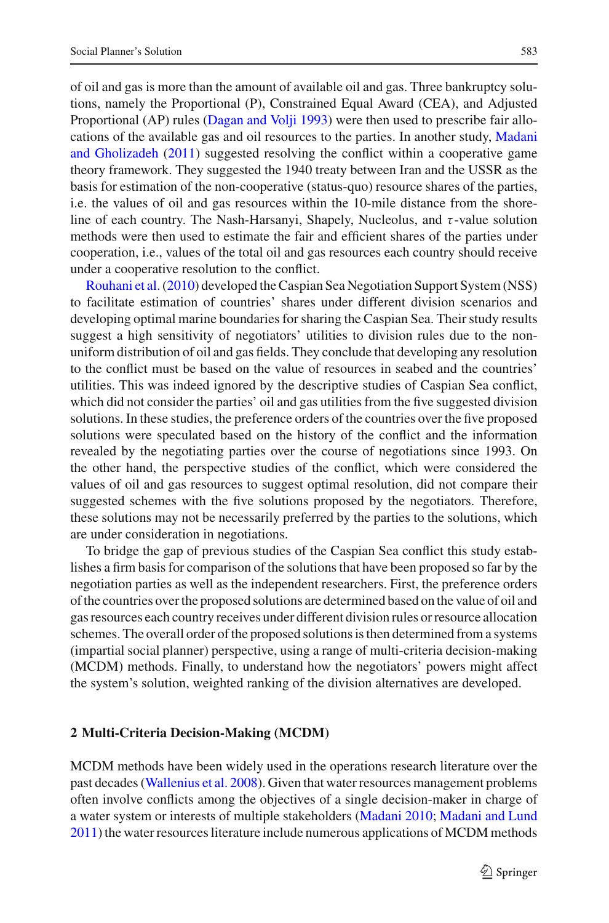of oil and gas is more than the amount of available oil and gas. Three bankruptcy solutions, namely the Proportional (P), Constrained Equal Award (CEA), and Adjusted Proportional (AP) rules [\(Dagan and Volji 1993\)](#page-15-2) were then used to prescribe fair allocations of the a[vailable](#page-16-4) [gas](#page-16-4) [and](#page-16-4) [oil](#page-16-4) [resources](#page-16-4) [to](#page-16-4) [the](#page-16-4) [parties.](#page-16-4) [In](#page-16-4) [another](#page-16-4) [study,](#page-16-4) Madani and Gholizadeh [\(2011](#page-16-4)) suggested resolving the conflict within a cooperative game theory framework. They suggested the 1940 treaty between Iran and the USSR as the basis for estimation of the non-cooperative (status-quo) resource shares of the parties, i.e. the values of oil and gas resources within the 10-mile distance from the shoreline of each country. The Nash-Harsanyi, Shapely, Nucleolus, and τ-value solution methods were then used to estimate the fair and efficient shares of the parties under cooperation, i.e., values of the total oil and gas resources each country should receive [under](#page-16-5) [a](#page-16-5) [cooperat](#page-16-5)ive resolution to the conflict.

Rouhani et al.[\(2010\)](#page-16-5) developed the Caspian Sea Negotiation Support System (NSS) to facilitate estimation of countries' shares under different division scenarios and developing optimal marine boundaries for sharing the Caspian Sea. Their study results suggest a high sensitivity of negotiators' utilities to division rules due to the nonuniform distribution of oil and gas fields. They conclude that developing any resolution to the conflict must be based on the value of resources in seabed and the countries' utilities. This was indeed ignored by the descriptive studies of Caspian Sea conflict, which did not consider the parties' oil and gas utilities from the five suggested division solutions. In these studies, the preference orders of the countries over the five proposed solutions were speculated based on the history of the conflict and the information revealed by the negotiating parties over the course of negotiations since 1993. On the other hand, the perspective studies of the conflict, which were considered the values of oil and gas resources to suggest optimal resolution, did not compare their suggested schemes with the five solutions proposed by the negotiators. Therefore, these solutions may not be necessarily preferred by the parties to the solutions, which are under consideration in negotiations.

To bridge the gap of previous studies of the Caspian Sea conflict this study establishes a firm basis for comparison of the solutions that have been proposed so far by the negotiation parties as well as the independent researchers. First, the preference orders of the countries over the proposed solutions are determined based on the value of oil and gas resources each country receives under different division rules or resource allocation schemes. The overall order of the proposed solutions is then determined from a systems (impartial social planner) perspective, using a range of multi-criteria decision-making (MCDM) methods. Finally, to understand how the negotiators' powers might affect the system's solution, weighted ranking of the division alternatives are developed.

# **2 Multi-Criteria Decision-Making (MCDM)**

MCDM methods have been widely used in the operations research literature over the past decades [\(Wallenius et al. 2008](#page-17-1)). Given that water resources management problems often involve conflicts among the objectives of a single decision-maker in charge of a water system or interests of multiple stakeholders [\(Madani 2010](#page-16-6); [Madani and Lund](#page-16-7) [2011\)](#page-16-7) the water resources literature include numerous applications of MCDM methods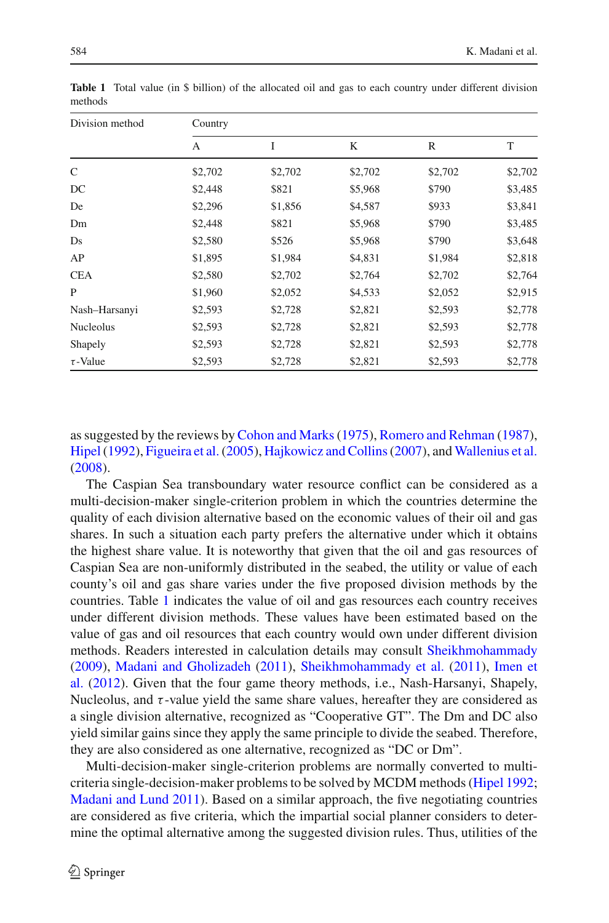| 584 | аı.<br>-- |
|-----|-----------|
|     |           |

| Division method  | Country |         |         |              |         |  |  |
|------------------|---------|---------|---------|--------------|---------|--|--|
|                  | А       | I       | K       | $\mathbb{R}$ | T       |  |  |
| C                | \$2,702 | \$2,702 | \$2,702 | \$2,702      | \$2,702 |  |  |
| DC               | \$2,448 | \$821   | \$5,968 | \$790        | \$3,485 |  |  |
| De               | \$2,296 | \$1,856 | \$4,587 | \$933        | \$3,841 |  |  |
| Dm               | \$2,448 | \$821   | \$5,968 | \$790        | \$3,485 |  |  |
| Ds               | \$2,580 | \$526   | \$5,968 | \$790        | \$3,648 |  |  |
| AP               | \$1,895 | \$1,984 | \$4,831 | \$1,984      | \$2,818 |  |  |
| <b>CEA</b>       | \$2,580 | \$2,702 | \$2,764 | \$2,702      | \$2,764 |  |  |
| P                | \$1,960 | \$2,052 | \$4,533 | \$2,052      | \$2,915 |  |  |
| Nash-Harsanyi    | \$2,593 | \$2,728 | \$2,821 | \$2,593      | \$2,778 |  |  |
| <b>Nucleolus</b> | \$2,593 | \$2,728 | \$2,821 | \$2,593      | \$2,778 |  |  |
| Shapely          | \$2,593 | \$2,728 | \$2,821 | \$2,593      | \$2,778 |  |  |
| $\tau$ -Value    | \$2,593 | \$2,728 | \$2,821 | \$2,593      | \$2,778 |  |  |

<span id="page-5-0"></span>**Table 1** Total value (in \$ billion) of the allocated oil and gas to each country under different division methods

as suggested by the reviews by [Cohon and Marks\(1975](#page-15-3)), [Romero and Rehman](#page-16-8) [\(1987](#page-16-8)), [Hipel\(1992\)](#page-16-9), [Figueira et al.\(2005](#page-15-4)), [Hajkowicz and Collins\(2007\)](#page-16-10), and [Wallenius et al.](#page-17-1) [\(2008\)](#page-17-1).

The Caspian Sea transboundary water resource conflict can be considered as a multi-decision-maker single-criterion problem in which the countries determine the quality of each division alternative based on the economic values of their oil and gas shares. In such a situation each party prefers the alternative under which it obtains the highest share value. It is noteworthy that given that the oil and gas resources of Caspian Sea are non-uniformly distributed in the seabed, the utility or value of each county's oil and gas share varies under the five proposed division methods by the countries. Table [1](#page-5-0) indicates the value of oil and gas resources each country receives under different division methods. These values have been estimated based on the value of gas and oil resources that each country would own under different division methods. Readers interested in calculation details may consult [Sheikhmohammady](#page-16-11) [\(2009\)](#page-16-11), [Madani and Gholizadeh](#page-16-4) [\(2011\)](#page-16-4), [Sheikhmohammady et al.](#page-17-0) [\(2011\)](#page-17-0), Imen et al. [\(2012](#page-16-12)). Given that the four game theory methods, i.e., Nash-Harsanyi, Shapely, Nucleolus, and  $\tau$ -value yield the same share values, hereafter they are considered as a single division alternative, recognized as "Cooperative GT". The Dm and DC also yield similar gains since they apply the same principle to divide the seabed. Therefore, they are also considered as one alternative, recognized as "DC or Dm".

Multi-decision-maker single-criterion problems are normally converted to multicriteria single-decision-maker problems to be solved by MCDM methods [\(Hipel 1992](#page-16-9); [Madani and Lund 2011\)](#page-16-7). Based on a similar approach, the five negotiating countries are considered as five criteria, which the impartial social planner considers to determine the optimal alternative among the suggested division rules. Thus, utilities of the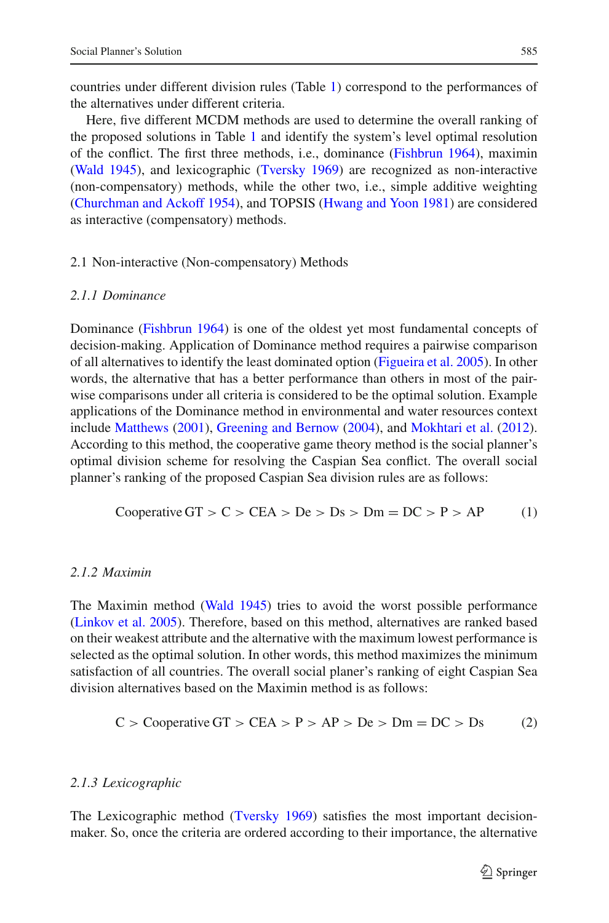countries under different division rules (Table [1\)](#page-5-0) correspond to the performances of the alternatives under different criteria.

Here, five different MCDM methods are used to determine the overall ranking of the proposed solutions in Table [1](#page-5-0) and identify the system's level optimal resolution of the conflict. The first three methods, i.e., dominance [\(Fishbrun 1964](#page-15-5)), maximin [\(Wald 1945\)](#page-17-2), and lexicographic [\(Tversky 1969\)](#page-17-3) are recognized as non-interactive (non-compensatory) methods, while the other two, i.e., simple additive weighting [\(Churchman and Ackoff 1954\)](#page-15-6), and TOPSIS [\(Hwang and Yoon 1981\)](#page-16-13) are considered as interactive (compensatory) methods.

# 2.1 Non-interactive (Non-compensatory) Methods

# *2.1.1 Dominance*

Dominance [\(Fishbrun 1964\)](#page-15-5) is one of the oldest yet most fundamental concepts of decision-making. Application of Dominance method requires a pairwise comparison of all alternatives to identify the least dominated option [\(Figueira et al. 2005](#page-15-4)). In other words, the alternative that has a better performance than others in most of the pairwise comparisons under all criteria is considered to be the optimal solution. Example applications of the Dominance method in environmental and water resources context include [Matthews](#page-16-14) [\(2001\)](#page-16-14), [Greening and Bernow](#page-15-7) [\(2004\)](#page-15-7), and [Mokhtari et al.](#page-16-15) [\(2012](#page-16-15)). According to this method, the cooperative game theory method is the social planner's optimal division scheme for resolving the Caspian Sea conflict. The overall social planner's ranking of the proposed Caspian Sea division rules are as follows:

Cooperative GT > C > CEA > De > Ds > Dm = DC > P > AP 
$$
(1)
$$

# *2.1.2 Maximin*

The Maximin method [\(Wald 1945\)](#page-17-2) tries to avoid the worst possible performance [\(Linkov et al. 2005\)](#page-16-16). Therefore, based on this method, alternatives are ranked based on their weakest attribute and the alternative with the maximum lowest performance is selected as the optimal solution. In other words, this method maximizes the minimum satisfaction of all countries. The overall social planer's ranking of eight Caspian Sea division alternatives based on the Maximin method is as follows:

$$
C > \text{Cooperative GT} > \text{CEA} > P > AP > De > \text{Dm} = \text{DC} > \text{Ds}
$$
 (2)

#### *2.1.3 Lexicographic*

The Lexicographic method [\(Tversky 1969\)](#page-17-3) satisfies the most important decisionmaker. So, once the criteria are ordered according to their importance, the alternative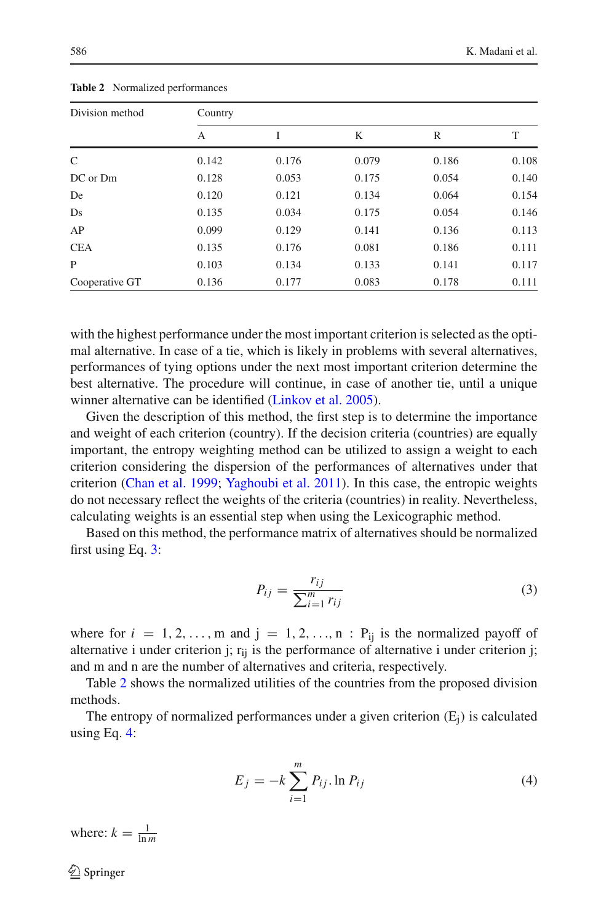<span id="page-7-1"></span>

| Division method | Country |       |       |       |       |  |  |
|-----------------|---------|-------|-------|-------|-------|--|--|
|                 | А       | I     | K     | R     | T     |  |  |
| C               | 0.142   | 0.176 | 0.079 | 0.186 | 0.108 |  |  |
| DC or Dm        | 0.128   | 0.053 | 0.175 | 0.054 | 0.140 |  |  |
| De              | 0.120   | 0.121 | 0.134 | 0.064 | 0.154 |  |  |
| Ds              | 0.135   | 0.034 | 0.175 | 0.054 | 0.146 |  |  |
| AP              | 0.099   | 0.129 | 0.141 | 0.136 | 0.113 |  |  |
| <b>CEA</b>      | 0.135   | 0.176 | 0.081 | 0.186 | 0.111 |  |  |
| P               | 0.103   | 0.134 | 0.133 | 0.141 | 0.117 |  |  |
| Cooperative GT  | 0.136   | 0.177 | 0.083 | 0.178 | 0.111 |  |  |

**Table 2** Normalized performances

with the highest performance under the most important criterion is selected as the optimal alternative. In case of a tie, which is likely in problems with several alternatives, performances of tying options under the next most important criterion determine the best alternative. The procedure will continue, in case of another tie, until a unique winner alternative can be identified [\(Linkov et al. 2005](#page-16-16)).

Given the description of this method, the first step is to determine the importance and weight of each criterion (country). If the decision criteria (countries) are equally important, the entropy weighting method can be utilized to assign a weight to each criterion considering the dispersion of the performances of alternatives under that criterion [\(Chan et al. 1999](#page-15-8); [Yaghoubi et al. 2011\)](#page-17-4). In this case, the entropic weights do not necessary reflect the weights of the criteria (countries) in reality. Nevertheless, calculating weights is an essential step when using the Lexicographic method.

Based on this method, the performance matrix of alternatives should be normalized first using Eq. [3:](#page-7-0)

$$
P_{ij} = \frac{r_{ij}}{\sum_{i=1}^{m} r_{ij}}\tag{3}
$$

<span id="page-7-0"></span>where for  $i = 1, 2, \ldots, m$  and  $j = 1, 2, \ldots, n$  :  $P_{ij}$  is the normalized payoff of alternative i under criterion j;  $r_{ij}$  is the performance of alternative i under criterion j; and m and n are the number of alternatives and criteria, respectively.

Table [2](#page-7-1) shows the normalized utilities of the countries from the proposed division methods.

The entropy of normalized performances under a given criterion  $(E_i)$  is calculated using Eq. [4:](#page-7-2)

$$
E_j = -k \sum_{i=1}^{m} P_{ij} \ln P_{ij}
$$
 (4)

<span id="page-7-2"></span>where:  $k = \frac{1}{\ln m}$ 

 $\bigcircled{2}$  Springer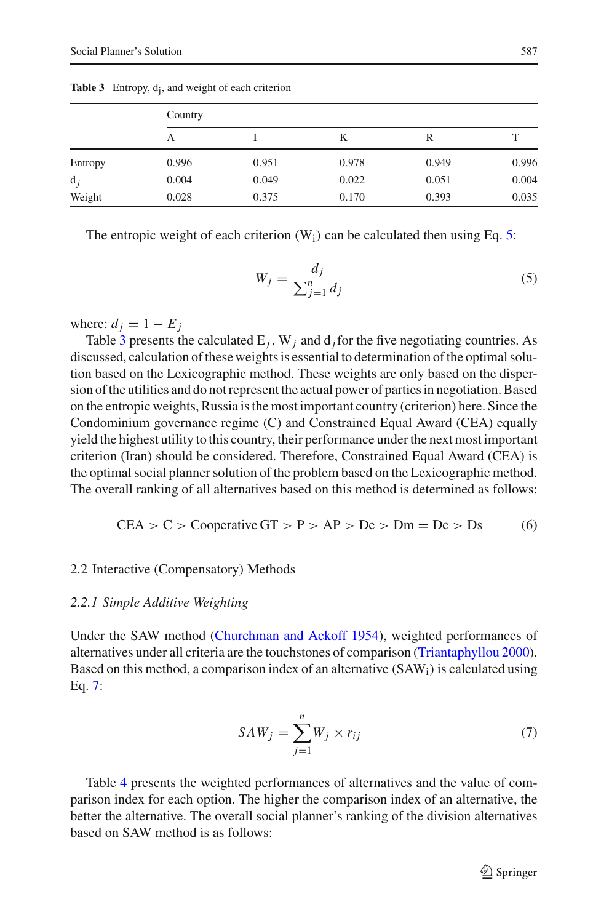<span id="page-8-1"></span>

|         | Country |       |       |       |       |  |
|---------|---------|-------|-------|-------|-------|--|
|         | А       |       | K     | R     |       |  |
| Entropy | 0.996   | 0.951 | 0.978 | 0.949 | 0.996 |  |
| $d_i$   | 0.004   | 0.049 | 0.022 | 0.051 | 0.004 |  |
| Weight  | 0.028   | 0.375 | 0.170 | 0.393 | 0.035 |  |

Table 3 Entropy, d<sub>i</sub>, and weight of each criterion

<span id="page-8-0"></span>The entropic weight of each criterion  $(W_i)$  can be calculated then using Eq. [5:](#page-8-0)

$$
W_j = \frac{d_j}{\sum_{j=1}^n d_j} \tag{5}
$$

where:  $d_j = 1 - E_j$ 

Table [3](#page-8-1) presents the calculated  $E_i$ , W<sub>j</sub> and  $d_i$  for the five negotiating countries. As discussed, calculation of these weights is essential to determination of the optimal solution based on the Lexicographic method. These weights are only based on the dispersion of the utilities and do not represent the actual power of parties in negotiation. Based on the entropic weights, Russia is the most important country (criterion) here. Since the Condominium governance regime (C) and Constrained Equal Award (CEA) equally yield the highest utility to this country, their performance under the next most important criterion (Iran) should be considered. Therefore, Constrained Equal Award (CEA) is the optimal social planner solution of the problem based on the Lexicographic method. The overall ranking of all alternatives based on this method is determined as follows:

$$
CEA > C > \text{Cooperative GT} > P > AP > De > \text{Dm} = \text{Dc} > \text{Ds}
$$
 (6)

#### 2.2 Interactive (Compensatory) Methods

#### *2.2.1 Simple Additive Weighting*

Under the SAW method [\(Churchman and Ackoff 1954\)](#page-15-6), weighted performances of alternatives under all criteria are the touchstones of comparison [\(Triantaphyllou 2000](#page-17-5)). Based on this method, a comparison index of an alternative  $(SAW_i)$  is calculated using Eq. [7:](#page-8-2)

$$
SAW_j = \sum_{j=1}^{n} W_j \times r_{ij}
$$
 (7)

<span id="page-8-2"></span>Table [4](#page-9-0) presents the weighted performances of alternatives and the value of comparison index for each option. The higher the comparison index of an alternative, the better the alternative. The overall social planner's ranking of the division alternatives based on SAW method is as follows: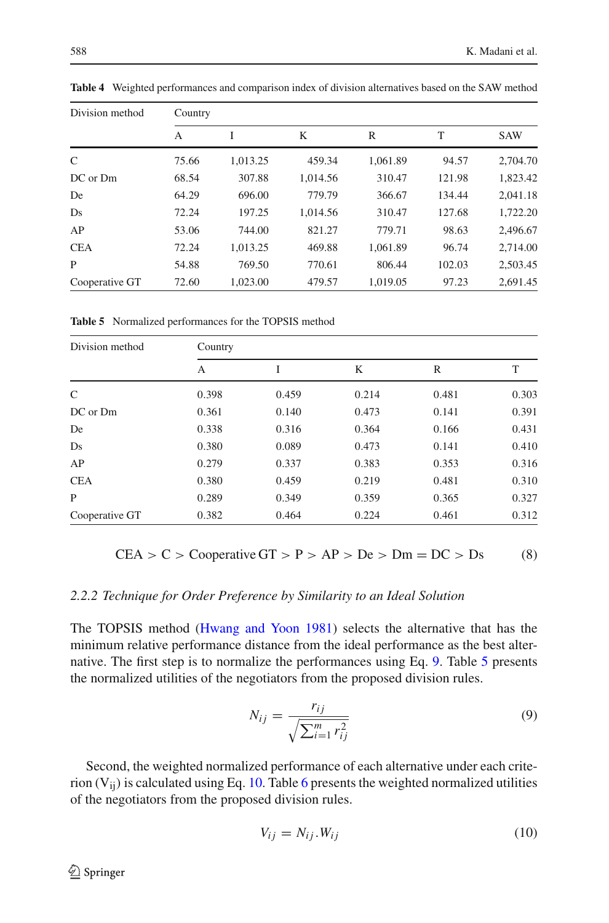| Division method | Country |          |          |          |        |            |  |  |
|-----------------|---------|----------|----------|----------|--------|------------|--|--|
|                 | A       |          | K        | R        | T      | <b>SAW</b> |  |  |
| C               | 75.66   | 1.013.25 | 459.34   | 1.061.89 | 94.57  | 2,704.70   |  |  |
| DC or Dm        | 68.54   | 307.88   | 1.014.56 | 310.47   | 121.98 | 1,823.42   |  |  |
| De              | 64.29   | 696.00   | 779.79   | 366.67   | 134.44 | 2,041.18   |  |  |
| Ds              | 72.24   | 197.25   | 1.014.56 | 310.47   | 127.68 | 1,722.20   |  |  |
| AP              | 53.06   | 744.00   | 821.27   | 779.71   | 98.63  | 2,496.67   |  |  |
| <b>CEA</b>      | 72.24   | 1.013.25 | 469.88   | 1.061.89 | 96.74  | 2,714.00   |  |  |
| P               | 54.88   | 769.50   | 770.61   | 806.44   | 102.03 | 2,503.45   |  |  |
| Cooperative GT  | 72.60   | 1.023.00 | 479.57   | 1.019.05 | 97.23  | 2,691.45   |  |  |

<span id="page-9-0"></span>**Table 4** Weighted performances and comparison index of division alternatives based on the SAW method

**Table 5** Normalized performances for the TOPSIS method

<span id="page-9-2"></span>

| Division method | Country |       |       |       |       |  |  |
|-----------------|---------|-------|-------|-------|-------|--|--|
|                 | А       | Ī     | K     | R     | T     |  |  |
| $\mathcal{C}$   | 0.398   | 0.459 | 0.214 | 0.481 | 0.303 |  |  |
| DC or Dm        | 0.361   | 0.140 | 0.473 | 0.141 | 0.391 |  |  |
| De              | 0.338   | 0.316 | 0.364 | 0.166 | 0.431 |  |  |
| Ds              | 0.380   | 0.089 | 0.473 | 0.141 | 0.410 |  |  |
| AP              | 0.279   | 0.337 | 0.383 | 0.353 | 0.316 |  |  |
| <b>CEA</b>      | 0.380   | 0.459 | 0.219 | 0.481 | 0.310 |  |  |
| P               | 0.289   | 0.349 | 0.359 | 0.365 | 0.327 |  |  |
| Cooperative GT  | 0.382   | 0.464 | 0.224 | 0.461 | 0.312 |  |  |

$$
CEA > C > \text{Cooperative GT} > P > AP > De > \text{Dm} = DC > Ds
$$
 (8)

## *2.2.2 Technique for Order Preference by Similarity to an Ideal Solution*

The TOPSIS method [\(Hwang and Yoon 1981](#page-16-13)) selects the alternative that has the minimum relative performance distance from the ideal performance as the best alternative. The first step is to normalize the performances using Eq. [9.](#page-9-1) Table [5](#page-9-2) presents the normalized utilities of the negotiators from the proposed division rules.

$$
N_{ij} = \frac{r_{ij}}{\sqrt{\sum_{i=1}^{m} r_{ij}^2}}
$$
\n(9)

<span id="page-9-1"></span>Second, the weighted normalized performance of each alternative under each criterion  $(V_{ii})$  is calculated using Eq. [10.](#page-9-3) Table [6](#page-10-0) presents the weighted normalized utilities of the negotiators from the proposed division rules.

<span id="page-9-3"></span>
$$
V_{ij} = N_{ij} . W_{ij} \tag{10}
$$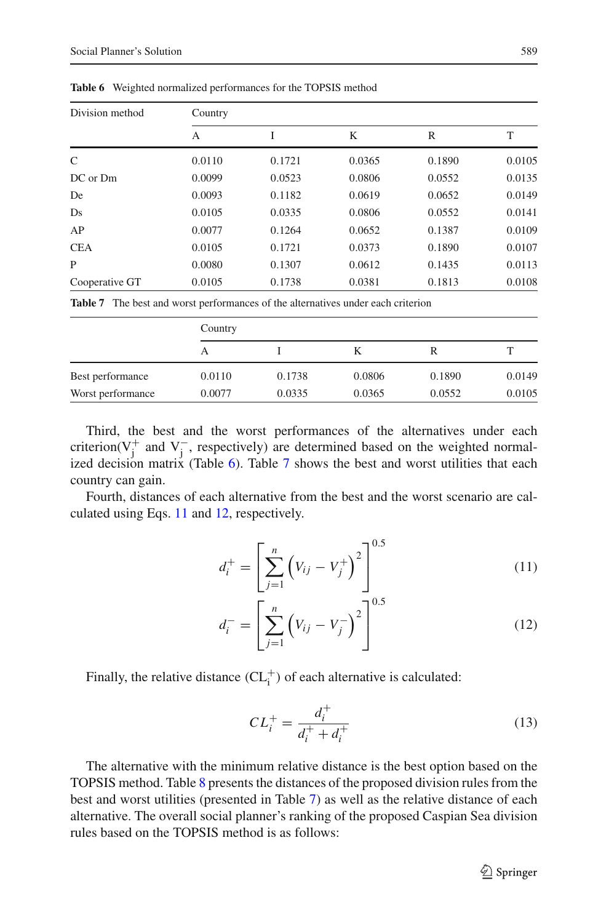<span id="page-10-0"></span>

| Division method | Country |        |        |        |        |  |  |
|-----------------|---------|--------|--------|--------|--------|--|--|
|                 | А       | I      | K      | R      | T      |  |  |
| C               | 0.0110  | 0.1721 | 0.0365 | 0.1890 | 0.0105 |  |  |
| DC or Dm        | 0.0099  | 0.0523 | 0.0806 | 0.0552 | 0.0135 |  |  |
| De              | 0.0093  | 0.1182 | 0.0619 | 0.0652 | 0.0149 |  |  |
| Ds              | 0.0105  | 0.0335 | 0.0806 | 0.0552 | 0.0141 |  |  |
| AP              | 0.0077  | 0.1264 | 0.0652 | 0.1387 | 0.0109 |  |  |
| <b>CEA</b>      | 0.0105  | 0.1721 | 0.0373 | 0.1890 | 0.0107 |  |  |
| P               | 0.0080  | 0.1307 | 0.0612 | 0.1435 | 0.0113 |  |  |
| Cooperative GT  | 0.0105  | 0.1738 | 0.0381 | 0.1813 | 0.0108 |  |  |

**Table 6** Weighted normalized performances for the TOPSIS method

**Table 7** The best and worst performances of the alternatives under each criterion

<span id="page-10-1"></span>

|                   | Country |        |        |        |        |  |
|-------------------|---------|--------|--------|--------|--------|--|
|                   | А       |        |        | R      |        |  |
| Best performance  | 0.0110  | 0.1738 | 0.0806 | 0.1890 | 0.0149 |  |
| Worst performance | 0.0077  | 0.0335 | 0.0365 | 0.0552 | 0.0105 |  |

Third, the best and the worst performances of the alternatives under each criterion( $V_j^+$  and  $V_j^-$ , respectively) are determined based on the weighted normalized decision matrix (Table  $6$ ). Table [7](#page-10-1) shows the best and worst utilities that each country can gain.

<span id="page-10-2"></span>Fourth, distances of each alternative from the best and the worst scenario are calculated using Eqs. [11](#page-10-2) and [12,](#page-10-2) respectively.

$$
d_i^+ = \left[ \sum_{j=1}^n \left( V_{ij} - V_j^+ \right)^2 \right]^{0.5} \tag{11}
$$

$$
d_i^- = \left[ \sum_{j=1}^n \left( V_{ij} - V_j^- \right)^2 \right]^{0.5} \tag{12}
$$

Finally, the relative distance  $(CL<sub>i</sub><sup>+</sup>)$  of each alternative is calculated:

$$
CL_i^+ = \frac{d_i^+}{d_i^+ + d_i^+}
$$
 (13)

The alternative with the minimum relative distance is the best option based on the TOPSIS method. Table [8](#page-11-0) presents the distances of the proposed division rules from the best and worst utilities (presented in Table [7\)](#page-10-1) as well as the relative distance of each alternative. The overall social planner's ranking of the proposed Caspian Sea division rules based on the TOPSIS method is as follows: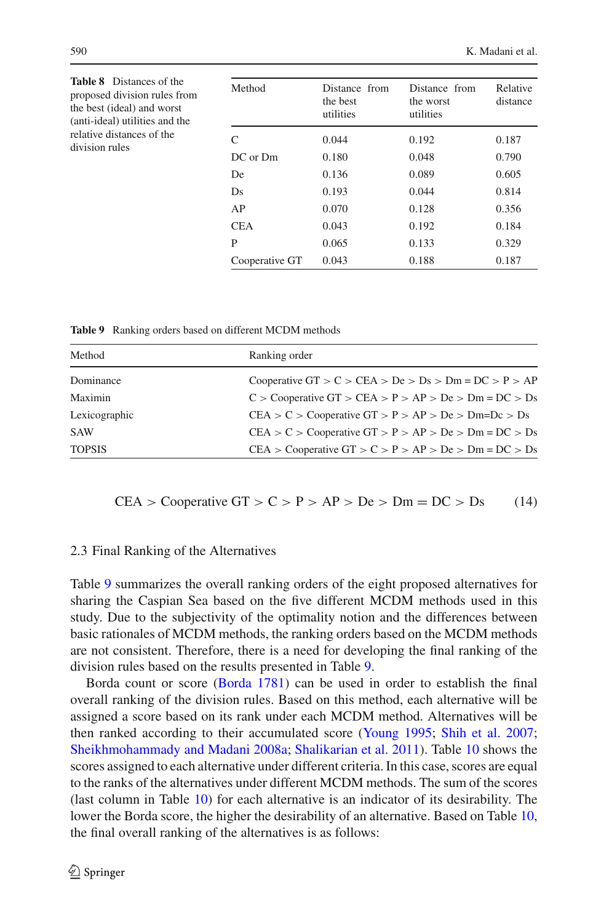<span id="page-11-0"></span>

| <b>Table 8</b> Distances of the<br>proposed division rules from<br>the best (ideal) and worst<br>(anti-ideal) utilities and the<br>relative distances of the<br>division rules | Method         | Distance from<br>the best<br>utilities | Distance from<br>the worst<br>utilities | Relative<br>distance |
|--------------------------------------------------------------------------------------------------------------------------------------------------------------------------------|----------------|----------------------------------------|-----------------------------------------|----------------------|
|                                                                                                                                                                                | C              | 0.044                                  | 0.192                                   | 0.187                |
|                                                                                                                                                                                | DC or Dm       | 0.180                                  | 0.048                                   | 0.790                |
|                                                                                                                                                                                | De             | 0.136                                  | 0.089                                   | 0.605                |
|                                                                                                                                                                                | Ds             | 0.193                                  | 0.044                                   | 0.814                |
|                                                                                                                                                                                | AP             | 0.070                                  | 0.128                                   | 0.356                |
|                                                                                                                                                                                | <b>CEA</b>     | 0.043                                  | 0.192                                   | 0.184                |
|                                                                                                                                                                                | P              | 0.065                                  | 0.133                                   | 0.329                |
|                                                                                                                                                                                | Cooperative GT | 0.043                                  | 0.188                                   | 0.187                |

**Table 9** Ranking orders based on different MCDM methods

<span id="page-11-1"></span>

| Method        | Ranking order                                                     |
|---------------|-------------------------------------------------------------------|
| Dominance     | Cooperative GT > $C$ > CEA > De > Ds > Dm = DC > P > AP           |
| Maximin       | $C >$ Cooperative GT $>$ CEA $> P >$ AP $>$ De $>$ Dm = DC $>$ Ds |
| Lexicographic | $CEA > C > Cooperative GT > P > AP > De > Dm=Dc > Ds$             |
| <b>SAW</b>    | $CEA > C > Cooperative GT > P > AP > De > Dm = DC > Ds$           |
| <b>TOPSIS</b> | CEA > Cooperative GT > C > P > AP > De > Dm = DC > Ds             |

CEA > Cooperative GT > C > P > AP > De > Dm = DC > Ds (14)

# 2.3 Final Ranking of the Alternatives

Table [9](#page-11-1) summarizes the overall ranking orders of the eight proposed alternatives for sharing the Caspian Sea based on the five different MCDM methods used in this study. Due to the subjectivity of the optimality notion and the differences between basic rationales of MCDM methods, the ranking orders based on the MCDM methods are not consistent. Therefore, there is a need for developing the final ranking of the division rules based on the results presented in Table [9.](#page-11-1)

Borda count or score [\(Borda 1781\)](#page-15-9) can be used in order to establish the final overall ranking of the division rules. Based on this method, each alternative will be assigned a score based on its rank under each MCDM method. Alternatives will be then ranked according to their accumulated score [\(Young 1995;](#page-17-6) [Shih et al. 2007](#page-17-7); [Sheikhmohammady and Madani 2008a;](#page-16-1) [Shalikarian et al. 2011](#page-16-17)). Table [10](#page-12-0) shows the scores assigned to each alternative under different criteria. In this case, scores are equal to the ranks of the alternatives under different MCDM methods. The sum of the scores (last column in Table [10\)](#page-12-0) for each alternative is an indicator of its desirability. The lower the Borda score, the higher the desirability of an alternative. Based on Table [10,](#page-12-0) the final overall ranking of the alternatives is as follows: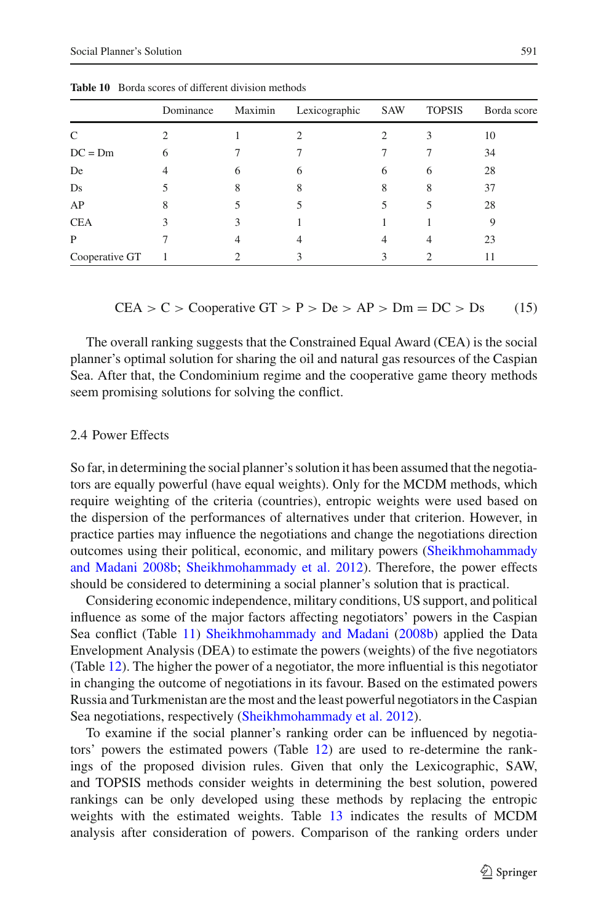<span id="page-12-0"></span>

|                | Dominance | Maximin | Lexicographic | SAW | <b>TOPSIS</b> | Borda score |
|----------------|-----------|---------|---------------|-----|---------------|-------------|
| C              |           |         |               |     |               | 10          |
| $DC = Dm$      | 6         |         |               |     |               | 34          |
| De             |           | b       | 6             | 6   | 6             | 28          |
| Ds             |           | 8       | 8             | 8   | 8             | 37          |
| AP             | 8         |         |               |     |               | 28          |
| <b>CEA</b>     |           |         |               |     |               |             |
| P              |           |         |               |     |               | 23          |
| Cooperative GT |           |         |               |     |               |             |

**Table 10** Borda scores of different division methods

CEA > C > Cooperative GT > P > De > AP > Dm = DC > Ds (15)

The overall ranking suggests that the Constrained Equal Award (CEA) is the social planner's optimal solution for sharing the oil and natural gas resources of the Caspian Sea. After that, the Condominium regime and the cooperative game theory methods seem promising solutions for solving the conflict.

## 2.4 Power Effects

So far, in determining the social planner's solution it has been assumed that the negotiators are equally powerful (have equal weights). Only for the MCDM methods, which require weighting of the criteria (countries), entropic weights were used based on the dispersion of the performances of alternatives under that criterion. However, in practice parties may influence the negotiations and change the negotiations direction outcomes u[sing](#page-16-2) [their](#page-16-2) [political,](#page-16-2) [economic,](#page-16-2) [and](#page-16-2) [military](#page-16-2) [powers](#page-16-2) [\(](#page-16-2)Sheikhmohammady and Madani [2008b;](#page-16-2) [Sheikhmohammady et al. 2012](#page-17-8)). Therefore, the power effects should be considered to determining a social planner's solution that is practical.

Considering economic independence, military conditions, US support, and political influence as some of the major factors affecting negotiators' powers in the Caspian Sea conflict (Table [11\)](#page-13-0) [Sheikhmohammady and Madani](#page-16-2) [\(2008b\)](#page-16-2) applied the Data Envelopment Analysis (DEA) to estimate the powers (weights) of the five negotiators (Table [12\)](#page-13-1). The higher the power of a negotiator, the more influential is this negotiator in changing the outcome of negotiations in its favour. Based on the estimated powers Russia and Turkmenistan are the most and the least powerful negotiators in the Caspian Sea negotiations, respectively [\(Sheikhmohammady et al. 2012\)](#page-17-8).

To examine if the social planner's ranking order can be influenced by negotiators' powers the estimated powers (Table [12\)](#page-13-1) are used to re-determine the rankings of the proposed division rules. Given that only the Lexicographic, SAW, and TOPSIS methods consider weights in determining the best solution, powered rankings can be only developed using these methods by replacing the entropic weights with the estimated weights. Table [13](#page-13-2) indicates the results of MCDM analysis after consideration of powers. Comparison of the ranking orders under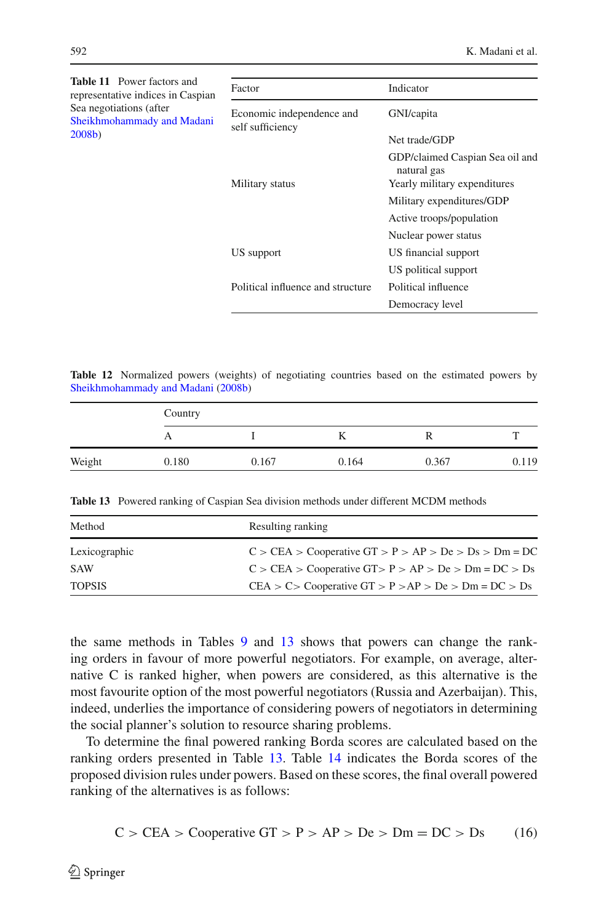<span id="page-13-0"></span>

| <b>Table 11</b> Power factors and<br>representative indices in Caspian | Factor                                        | Indicator                                      |
|------------------------------------------------------------------------|-----------------------------------------------|------------------------------------------------|
| Sea negotiations (after<br>Sheikhmohammady and Madani                  | Economic independence and<br>self sufficiency | GNI/capita                                     |
| $2008b$ )                                                              |                                               | Net trade/GDP                                  |
|                                                                        |                                               | GDP/claimed Caspian Sea oil and<br>natural gas |
|                                                                        | Military status                               | Yearly military expenditures                   |
|                                                                        |                                               | Military expenditures/GDP                      |
|                                                                        |                                               | Active troops/population                       |
|                                                                        |                                               | Nuclear power status                           |
|                                                                        | US support                                    | US financial support                           |
|                                                                        |                                               | US political support                           |
|                                                                        | Political influence and structure             | Political influence                            |
|                                                                        |                                               | Democracy level                                |
|                                                                        |                                               |                                                |

<span id="page-13-1"></span>**Table 12** Normalized powers (weights) of negotiating countries based on the estimated powers by [Sheikhmohammady and Madani](#page-16-2) [\(2008b\)](#page-16-2)

|        | Country |       |       |       |       |  |  |
|--------|---------|-------|-------|-------|-------|--|--|
|        |         |       |       |       |       |  |  |
| Weight | 0.180   | 0.167 | 0.164 | 0.367 | 0.119 |  |  |

**Table 13** Powered ranking of Caspian Sea division methods under different MCDM methods

<span id="page-13-2"></span>

| Method        | Resulting ranking                                         |
|---------------|-----------------------------------------------------------|
| Lexicographic | $C > CEA > Cooperative GT > P > AP > De > Ds > Dm = DC$   |
| <b>SAW</b>    | $C > CEA > Cooperative GT > P > AP > De > Dm = DC > Ds$   |
| <b>TOPSIS</b> | $CEA > C >$ Cooperative $GT > P > AP > De > Dm = DC > Ds$ |

the same methods in Tables [9](#page-11-1) and [13](#page-13-2) shows that powers can change the ranking orders in favour of more powerful negotiators. For example, on average, alternative C is ranked higher, when powers are considered, as this alternative is the most favourite option of the most powerful negotiators (Russia and Azerbaijan). This, indeed, underlies the importance of considering powers of negotiators in determining the social planner's solution to resource sharing problems.

To determine the final powered ranking Borda scores are calculated based on the ranking orders presented in Table [13.](#page-13-2) Table [14](#page-14-0) indicates the Borda scores of the proposed division rules under powers. Based on these scores, the final overall powered ranking of the alternatives is as follows:

$$
C > CEA > Cooperative GT > P > AP > De > Dm = DC > Ds
$$
 (16)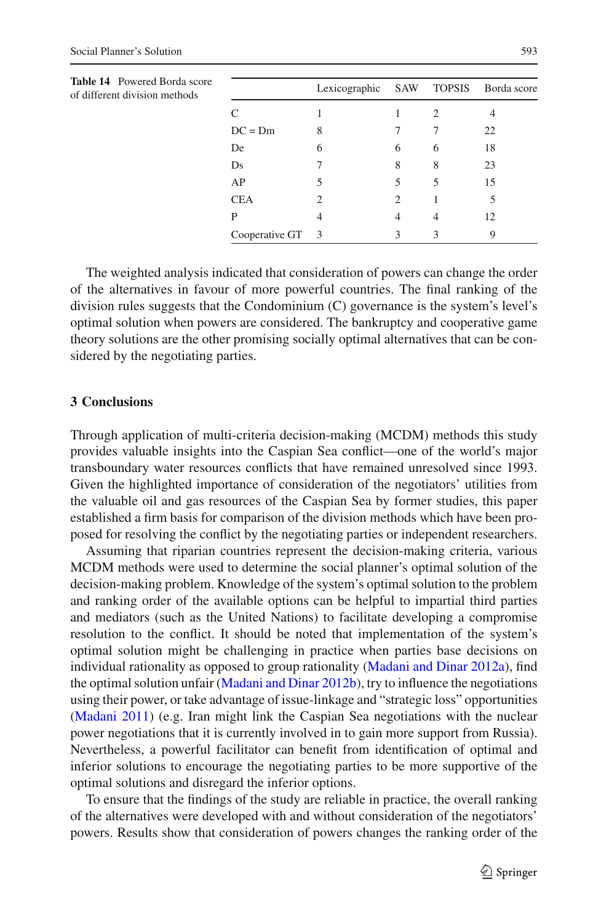<span id="page-14-0"></span>

| <b>Table 14</b> Powered Borda score<br>of different division methods |                  | Lexicographic |   | SAW TOPSIS | Borda score |
|----------------------------------------------------------------------|------------------|---------------|---|------------|-------------|
|                                                                      |                  |               |   | 2          |             |
|                                                                      | $DC = Dm$        | 8             |   |            | 22          |
|                                                                      | De               | 6             | 6 | 6          | 18          |
|                                                                      | Ds               |               | 8 | 8          | 23          |
|                                                                      | AP               | 5             | 5 | 5          | 15          |
|                                                                      | <b>CEA</b>       |               | 2 |            |             |
|                                                                      | P                | 4             | 4 | 4          | 12          |
|                                                                      | Cooperative GT 3 |               | 3 | 3          | 9           |

The weighted analysis indicated that consideration of powers can change the order of the alternatives in favour of more powerful countries. The final ranking of the division rules suggests that the Condominium (C) governance is the system's level's optimal solution when powers are considered. The bankruptcy and cooperative game theory solutions are the other promising socially optimal alternatives that can be considered by the negotiating parties.

## **3 Conclusions**

Through application of multi-criteria decision-making (MCDM) methods this study provides valuable insights into the Caspian Sea conflict—one of the world's major transboundary water resources conflicts that have remained unresolved since 1993. Given the highlighted importance of consideration of the negotiators' utilities from the valuable oil and gas resources of the Caspian Sea by former studies, this paper established a firm basis for comparison of the division methods which have been proposed for resolving the conflict by the negotiating parties or independent researchers.

Assuming that riparian countries represent the decision-making criteria, various MCDM methods were used to determine the social planner's optimal solution of the decision-making problem. Knowledge of the system's optimal solution to the problem and ranking order of the available options can be helpful to impartial third parties and mediators (such as the United Nations) to facilitate developing a compromise resolution to the conflict. It should be noted that implementation of the system's optimal solution might be challenging in practice when parties base decisions on individual rationality as opposed to group rationality [\(Madani and Dinar 2012a](#page-16-18)), find the optimal solution unfair [\(Madani and Dinar 2012b](#page-16-19)), try to influence the negotiations using their power, or take advantage of issue-linkage and "strategic loss" opportunities [\(Madani 2011\)](#page-16-20) (e.g. Iran might link the Caspian Sea negotiations with the nuclear power negotiations that it is currently involved in to gain more support from Russia). Nevertheless, a powerful facilitator can benefit from identification of optimal and inferior solutions to encourage the negotiating parties to be more supportive of the optimal solutions and disregard the inferior options.

To ensure that the findings of the study are reliable in practice, the overall ranking of the alternatives were developed with and without consideration of the negotiators' powers. Results show that consideration of powers changes the ranking order of the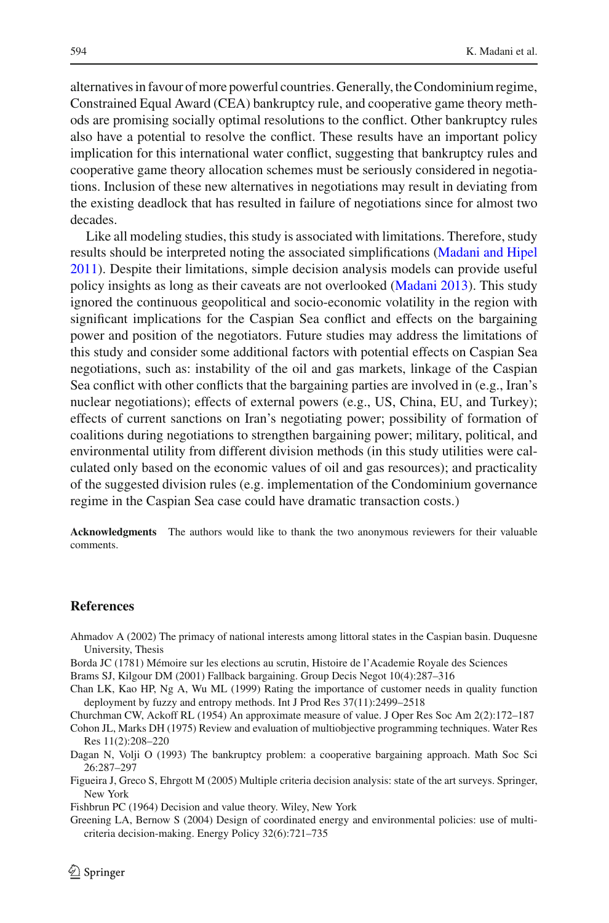alternatives in favour of more powerful countries. Generally, the Condominium regime, Constrained Equal Award (CEA) bankruptcy rule, and cooperative game theory methods are promising socially optimal resolutions to the conflict. Other bankruptcy rules also have a potential to resolve the conflict. These results have an important policy implication for this international water conflict, suggesting that bankruptcy rules and cooperative game theory allocation schemes must be seriously considered in negotiations. Inclusion of these new alternatives in negotiations may result in deviating from the existing deadlock that has resulted in failure of negotiations since for almost two decades.

Like all modeling studies, this study is associated with limitations. Therefore, study results should be interpreted noting the associated simplifications [\(Madani and Hipel](#page-16-21) [2011\)](#page-16-21). Despite their limitations, simple decision analysis models can provide useful policy insights as long as their caveats are not overlooked [\(Madani 2013](#page-16-22)). This study ignored the continuous geopolitical and socio-economic volatility in the region with significant implications for the Caspian Sea conflict and effects on the bargaining power and position of the negotiators. Future studies may address the limitations of this study and consider some additional factors with potential effects on Caspian Sea negotiations, such as: instability of the oil and gas markets, linkage of the Caspian Sea conflict with other conflicts that the bargaining parties are involved in (e.g., Iran's nuclear negotiations); effects of external powers (e.g., US, China, EU, and Turkey); effects of current sanctions on Iran's negotiating power; possibility of formation of coalitions during negotiations to strengthen bargaining power; military, political, and environmental utility from different division methods (in this study utilities were calculated only based on the economic values of oil and gas resources); and practicality of the suggested division rules (e.g. implementation of the Condominium governance regime in the Caspian Sea case could have dramatic transaction costs.)

**Acknowledgments** The authors would like to thank the two anonymous reviewers for their valuable comments.

## **References**

- <span id="page-15-0"></span>Ahmadov A (2002) The primacy of national interests among littoral states in the Caspian basin. Duquesne University, Thesis
- <span id="page-15-9"></span>Borda JC (1781) Mémoire sur les elections au scrutin, Histoire de l'Academie Royale des Sciences
- <span id="page-15-1"></span>Brams SJ, Kilgour DM (2001) Fallback bargaining. Group Decis Negot 10(4):287–316

<span id="page-15-8"></span>Chan LK, Kao HP, Ng A, Wu ML (1999) Rating the importance of customer needs in quality function deployment by fuzzy and entropy methods. Int J Prod Res 37(11):2499–2518

<span id="page-15-6"></span>Churchman CW, Ackoff RL (1954) An approximate measure of value. J Oper Res Soc Am 2(2):172–187

<span id="page-15-3"></span>Cohon JL, Marks DH (1975) Review and evaluation of multiobjective programming techniques. Water Res Res 11(2):208–220

<span id="page-15-2"></span>Dagan N, Volji O (1993) The bankruptcy problem: a cooperative bargaining approach. Math Soc Sci 26:287–297

<span id="page-15-4"></span>Figueira J, Greco S, Ehrgott M (2005) Multiple criteria decision analysis: state of the art surveys. Springer, New York

<span id="page-15-5"></span>Fishbrun PC (1964) Decision and value theory. Wiley, New York

<span id="page-15-7"></span>Greening LA, Bernow S (2004) Design of coordinated energy and environmental policies: use of multicriteria decision-making. Energy Policy 32(6):721–735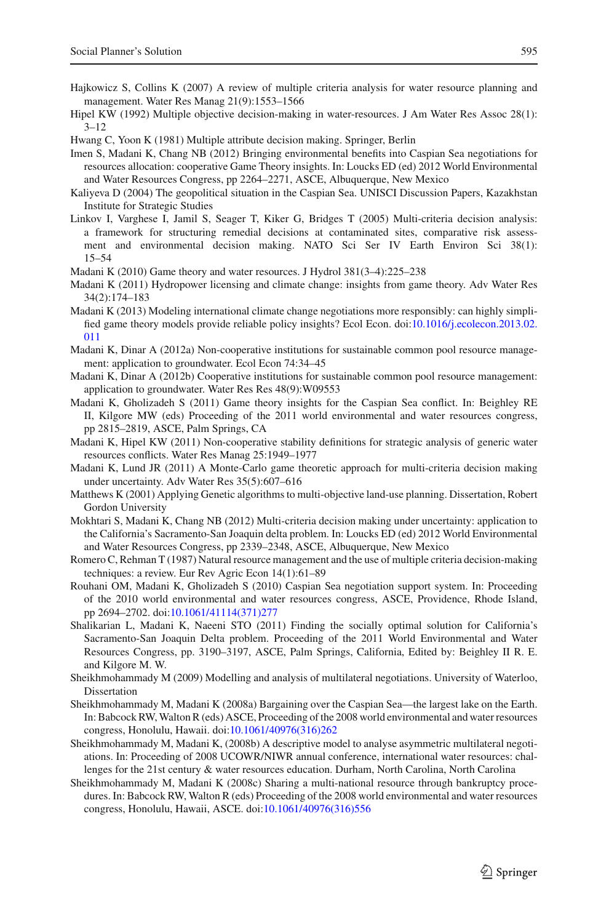- <span id="page-16-10"></span>Hajkowicz S, Collins K (2007) A review of multiple criteria analysis for water resource planning and management. Water Res Manag 21(9):1553–1566
- <span id="page-16-9"></span>Hipel KW (1992) Multiple objective decision-making in water-resources. J Am Water Res Assoc 28(1):  $3 - 12$
- <span id="page-16-13"></span>Hwang C, Yoon K (1981) Multiple attribute decision making. Springer, Berlin
- <span id="page-16-12"></span>Imen S, Madani K, Chang NB (2012) Bringing environmental benefits into Caspian Sea negotiations for resources allocation: cooperative Game Theory insights. In: Loucks ED (ed) 2012 World Environmental and Water Resources Congress, pp 2264–2271, ASCE, Albuquerque, New Mexico
- <span id="page-16-0"></span>Kaliyeva D (2004) The geopolitical situation in the Caspian Sea. UNISCI Discussion Papers, Kazakhstan Institute for Strategic Studies
- <span id="page-16-16"></span>Linkov I, Varghese I, Jamil S, Seager T, Kiker G, Bridges T (2005) Multi-criteria decision analysis: a framework for structuring remedial decisions at contaminated sites, comparative risk assessment and environmental decision making. NATO Sci Ser IV Earth Environ Sci 38(1): 15–54
- <span id="page-16-6"></span>Madani K (2010) Game theory and water resources. J Hydrol 381(3–4):225–238
- <span id="page-16-20"></span>Madani K (2011) Hydropower licensing and climate change: insights from game theory. Adv Water Res 34(2):174–183
- <span id="page-16-22"></span>Madani K (2013) Modeling international climate change negotiations more responsibly: can highly simplified game theory models provide reliable policy insights? Ecol Econ. doi[:10.1016/j.ecolecon.2013.02.](http://dx.doi.org/10.1016/j.ecolecon.2013.02.011) [011](http://dx.doi.org/10.1016/j.ecolecon.2013.02.011)
- <span id="page-16-18"></span>Madani K, Dinar A (2012a) Non-cooperative institutions for sustainable common pool resource management: application to groundwater. Ecol Econ 74:34–45
- <span id="page-16-19"></span>Madani K, Dinar A (2012b) Cooperative institutions for sustainable common pool resource management: application to groundwater. Water Res Res 48(9):W09553
- <span id="page-16-4"></span>Madani K, Gholizadeh S (2011) Game theory insights for the Caspian Sea conflict. In: Beighley RE II, Kilgore MW (eds) Proceeding of the 2011 world environmental and water resources congress, pp 2815–2819, ASCE, Palm Springs, CA
- <span id="page-16-21"></span>Madani K, Hipel KW (2011) Non-cooperative stability definitions for strategic analysis of generic water resources conflicts. Water Res Manag 25:1949–1977
- <span id="page-16-7"></span>Madani K, Lund JR (2011) A Monte-Carlo game theoretic approach for multi-criteria decision making under uncertainty. Adv Water Res 35(5):607–616
- <span id="page-16-14"></span>Matthews K (2001) Applying Genetic algorithms to multi-objective land-use planning. Dissertation, Robert Gordon University
- <span id="page-16-15"></span>Mokhtari S, Madani K, Chang NB (2012) Multi-criteria decision making under uncertainty: application to the California's Sacramento-San Joaquin delta problem. In: Loucks ED (ed) 2012 World Environmental and Water Resources Congress, pp 2339–2348, ASCE, Albuquerque, New Mexico
- <span id="page-16-8"></span>Romero C, Rehman T (1987) Natural resource management and the use of multiple criteria decision-making techniques: a review. Eur Rev Agric Econ 14(1):61–89
- <span id="page-16-5"></span>Rouhani OM, Madani K, Gholizadeh S (2010) Caspian Sea negotiation support system. In: Proceeding of the 2010 world environmental and water resources congress, ASCE, Providence, Rhode Island, pp 2694–2702. doi[:10.1061/41114\(371\)277](http://dx.doi.org/10.1061/41114(371)277)
- <span id="page-16-17"></span>Shalikarian L, Madani K, Naeeni STO (2011) Finding the socially optimal solution for California's Sacramento-San Joaquin Delta problem. Proceeding of the 2011 World Environmental and Water Resources Congress, pp. 3190–3197, ASCE, Palm Springs, California, Edited by: Beighley II R. E. and Kilgore M. W.
- <span id="page-16-11"></span>Sheikhmohammady M (2009) Modelling and analysis of multilateral negotiations. University of Waterloo, Dissertation
- <span id="page-16-1"></span>Sheikhmohammady M, Madani K (2008a) Bargaining over the Caspian Sea—the largest lake on the Earth. In: Babcock RW, Walton R (eds) ASCE, Proceeding of the 2008 world environmental and water resources congress, Honolulu, Hawaii. doi[:10.1061/40976\(316\)262](http://dx.doi.org/10.1061/40976(316)262)
- <span id="page-16-2"></span>Sheikhmohammady M, Madani K, (2008b) A descriptive model to analyse asymmetric multilateral negotiations. In: Proceeding of 2008 UCOWR/NIWR annual conference, international water resources: challenges for the 21st century & water resources education. Durham, North Carolina, North Carolina
- <span id="page-16-3"></span>Sheikhmohammady M, Madani K (2008c) Sharing a multi-national resource through bankruptcy procedures. In: Babcock RW, Walton R (eds) Proceeding of the 2008 world environmental and water resources congress, Honolulu, Hawaii, ASCE. doi[:10.1061/40976\(316\)556](http://dx.doi.org/10.1061/40976(316)556)